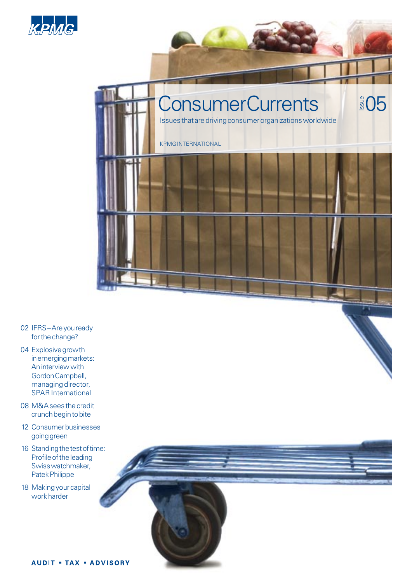



- 02 IFRS Are you ready for the change?
- 04 Explosive growth in emerging markets: An interview with Gordon Campbell, managing director, SPAR International
- 08 M&A sees the credit crunch begin to bite
- 12 Consumer businesses going green
- 16 Standing the test of time: Profile of the leading Swiss watchmaker, Patek Philippe
- 18 Making your capital work harder

© 2008 KPMG International. KPMG International provides no client services and is a Swiss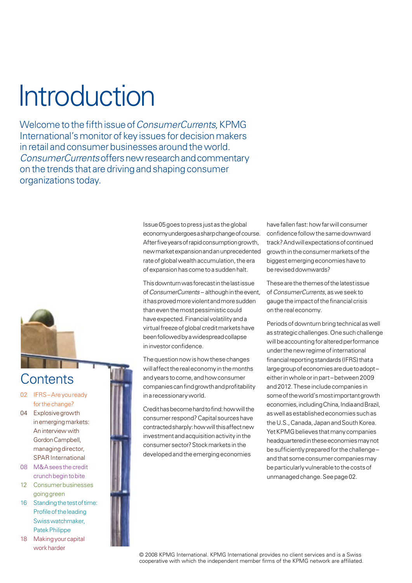# Introduction<br>Welcome to the fifth issue of *ConsumerCurrents*, KPMG

International's monitor of key issues for decision makers in retail and consumer businesses around the world. *ConsumerCurrents* offers new research and commentary on the trends that are driving and shaping consumer organizations today.



Issue 05 goes to press just as the global economy undergoes a sharp change of course After five years of rapid consumption growth, new market expansion and an unprecedented rate of global wealth accumulation, the era of expansion has come to a sudden halt.

This downturn was forecast in the last issue of *ConsumerCurrents* – although in the event, it has proved more violent and more sudden than even the most pessimistic could have expected. Financial volatility and a virtual freeze of global credit markets have been followed by a widespread collapse in investor confidence.

The question now is how these changes will affect the real economy in the months and years to come, and how consumer companies can find growth and profitability in a recessionary world.

Credit has become hard to find: how will the consumer respond? Capital sources have contracted sharply: how will this affect new investment and acquisition activity in the consumer sector? Stock markets in the developed and the emerging economies

have fallen fast: how far will consumer . confidence follow the same downward track? And will expectations of continued growth in the consumer markets of the biggest emerging economies have to be revised downwards?

These are the themes of the latest issue of *ConsumerCurrents*, as we seek to gauge the impact of the financial crisis on the real economy.

Periods of downturn bring technical as well as strategic challenges. One such challenge will be accounting for altered performance under the new regime of international financial reporting standards (IFRS) that a large group of economies are due to adopt – either in whole or in part – between 2009 and 2012. These include companies in some of the world's most important growth economies, including China, India and Brazil, as well as established economies such as the U.S., Canada, Japan and South Korea. Yet KPMG believes that many companies headquartered in these economies may not be sufficiently prepared for the challenge – and that some consumer companies may be particularly vulnerable to the costs of unmanaged change. See page 02.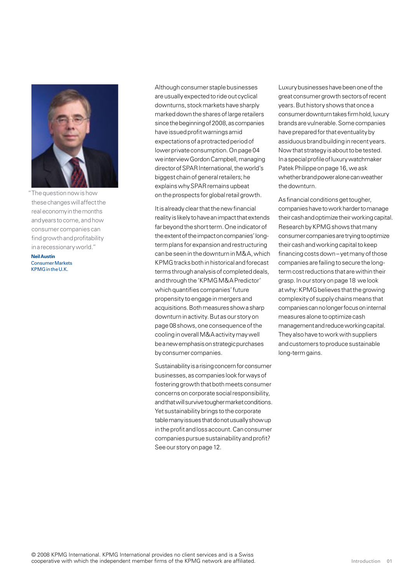

The question now is how "these changes will affect the real economy in the months and years to come, and how consumer companies can find growth and profitability in a recessionary world."

**Neil Austin**  Consumer Markets KPMG in the U.K.

Although consumer staple businesses are usually expected to ride out cyclical downturns, stock markets have sharply marked down the shares of large retailers since the beginning of 2008, as companies have issued profit warnings amid expectations of a protracted period of lower private consumption. On page 04 we interview Gordon Campbell, managing director of SPAR International, the world's biggest chain of general retailers; he explains why SPAR remains upbeat on the prospects for global retail growth.

It is already clear that the new financial reality is likely to have an impact that extends far beyond the short term. One indicator of the extent of the impact on companies' longterm plans for expansion and restructuring can be seen in the downturn in M&A, which KPMG tracks both in historical and forecast terms through analysis of completed deals, and through the 'KPMG M&A Predictor' which quantifies companies' future propensity to engage in mergers and acquisitions. Both measures show a sharp downturn in activity. But as our story on page 08 shows, one consequence of the cooling in overall M&A activity may well be a new emphasis on strategic purchases by consumer companies.

Sustainability is a rising concern for consumer businesses, as companies look for ways of fostering growth that both meets consumer concerns on corporate social responsibility, and that will survive tougher market conditions. Yet sustainability brings to the corporate table many issues that do not usually show up in the profit and loss account. Can consumer companies pursue sustainability and profit? See our story on page 12.

Luxury businesses have been one of the great consumer growth sectors of recent years. But history shows that once a consumer downturn takes firm hold, luxury brands are vulnerable. Some companies have prepared for that eventuality by assiduous brand building in recent years. Now that strategy is about to be tested. In a special profile of luxury watchmaker Patek Philippe on page 16, we ask whether brand power alone can weather the downturn.

As financial conditions get tougher, companies have to work harder to manage their cash and optimize their working capital. Research by KPMG shows that many consumer companies are trying to optimize their cash and working capital to keep financing costs down – yet many of those companies are failing to secure the longterm cost reductions that are within their grasp. In our story on page 18 we look at why: KPMG believes that the growing complexity of supply chains means that companies can no longer focus on internal measures alone to optimize cash management and reduce working capital. They also have to work with suppliers and customers to produce sustainable long-term gains.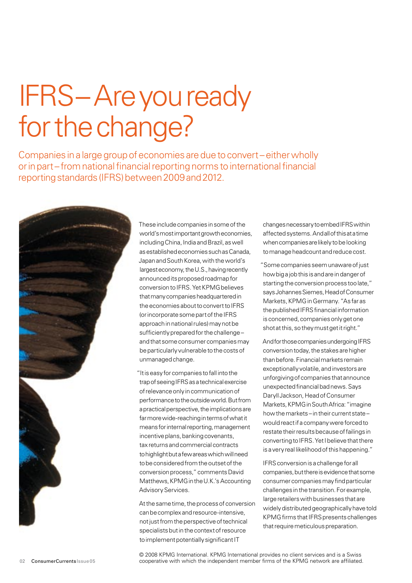### IFRS – Are you ready for the change?

Companies in a large group of economies are due to convert – either wholly or in part – from national financial reporting norms to international financial reporting standards (IFRS) between 2009 and 2012.



These include companies in some of the world's most important growth economies, including China, India and Brazil, as well as established economies such as Canada, Japan and South Korea, with the world's largest economy, the U.S., having recently announced its proposed roadmap for conversion to IFRS. Yet KPMG believes that many companies headquartered in the economies about to convert to IFRS (or incorporate some part of the IFRS approach in national rules) may not be sufficiently prepared for the challenge – and that some consumer companies may be particularly vulnerable to the costs of unmanaged change.

"It is easy for companies to fall into the trap of seeing IFRS as a technical exercise of relevance only in communication of performance to the outside world. But from a practical perspective, the implications are far more wide-reaching in terms of what it means for internal reporting, management incentive plans, banking covenants, tax returns and commercial contracts to highlight but a few areas which will need to be considered from the outset of the conversion process," comments David Matthews, KPMG in the U.K.'s Accounting Advisory Services.

At the same time, the process of conversion can be complex and resource-intensive, not just from the perspective of technical specialists but in the context of resource to implement potentially significant IT

changes necessary to embed IFRS within affected systems. And all of this at a time when companies are likely to be looking to manage headcount and reduce cost.

"Some companies seem unaware of just how big a job this is and are in danger of starting the conversion process too late," says Johannes Siemes, Head of Consumer Markets, KPMG in Germany. "As far as the published IFRS financial information is concerned, companies only get one shot at this, so they must get it right."

And for those companies undergoing IFRS conversion today, the stakes are higher than before. Financial markets remain exceptionally volatile, and investors are unforgiving of companies that announce unexpected financial bad news. Says Daryll Jackson, Head of Consumer Markets, KPMG in South Africa: "imagine how the markets – in their current state – would react if a company were forced to restate their results because of failings in converting to IFRS. Yet I believe that there is a very real likelihood of this happening."

IFRS conversion is a challenge for all companies, but there is evidence that some consumer companies may find particular challenges in the transition. For example, large retailers with businesses that are widely distributed geographically have told KPMG firms that IFRS presents challenges that require meticulous preparation.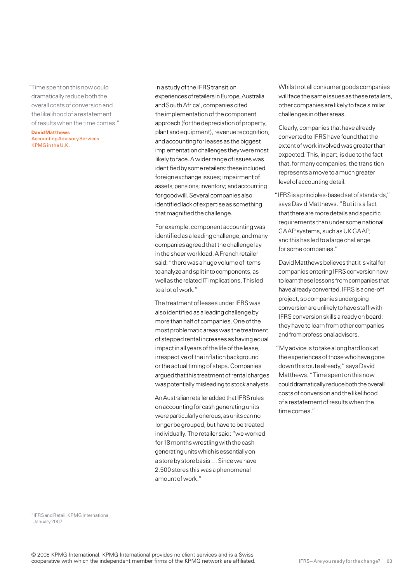"Time spent on this now could dramatically reduce both the overall costs of conversion and the likelihood of a restatement of results when the time comes."

**David Matthews** Accounting Advisory Services KPMG in the U.K.

In a study of the IFRS transition experiences of retailers in Europe, Australia and South Africa<sup>1</sup>, companies cited the implementation of the component approach (for the depreciation of property, plant and equipment), revenue recognition, and accounting for leases as the biggest implementation challenges they were most likely to face. A wider range of issues was identified by some retailers: these included foreign exchange issues; impairment of assets; pensions; inventory; and accounting for goodwill. Several companies also identified lack of expertise as something that magnified the challenge.

For example, component accounting was identified as a leading challenge, and many companies agreed that the challenge lay in the sheer workload. A French retailer said: "there was a huge volume of items to analyze and split into components, as well as the related IT implications. This led to a lot of work."

The treatment of leases under IFRS was also identified as a leading challenge by more than half of companies. One of the most problematic areas was the treatment of stepped rental increases as having equal impact in all years of the life of the lease, irrespective of the inflation background or the actual timing of steps. Companies argued that this treatment of rental charges was potentially misleading to stock analysts.

An Australian retailer added that IFRS rules on accounting for cash generating units were particularly onerous, as units can no longer be grouped, but have to be treated individually. The retailer said: "we worked for 18 months wrestling with the cash generating units which is essentially on a store by store basis … Since we have 2,500 stores this was a phenomenal amount of work."

Whilst not all consumer goods companies will face the same issues as these retailers, other companies are likely to face similar challenges in other areas.

Clearly, companies that have already converted to IFRS have found that the extent of work involved was greater than expected. This, in part, is due to the fact that, for many companies, the transition represents a move to a much greater level of accounting detail.

 "IFRS is a principles-based set of standards," says David Matthews. "But it is a fact that there are more details and specific requirements than under some national GAAP systems, such as UK GAAP, and this has led to a large challenge for some companies."

David Matthews believes that it is vital for companies entering IFRS conversion now to learn these lessons from companies that have already converted. IFRS is a one-off project, so companies undergoing conversion are unlikely to have staff with IFRS conversion skills already on board: they have to learn from other companies and from professional advisors.

 "My advice is to take a long hard look at the experiences of those who have gone down this route already," says David Matthews. "Time spent on this now could dramatically reduce both the overall costs of conversion and the likelihood of a restatement of results when the time comes."

<sup>1</sup> IFRS and Retail, KPMG International, January 2007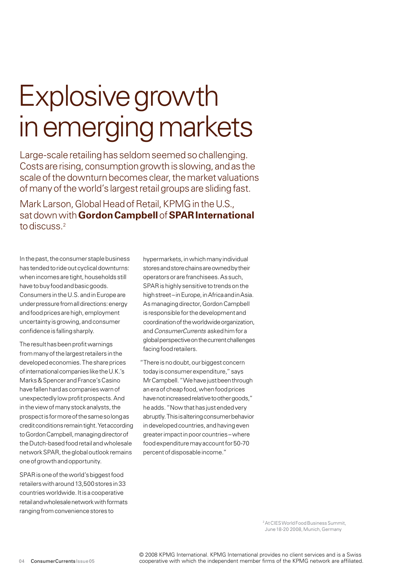### Explosive growth in emerging markets

Large-scale retailing has seldom seemed so challenging. Costs are rising, consumption growth is slowing, and as the scale of the downturn becomes clear, the market valuations of many of the world's largest retail groups are sliding fast.

Mark Larson, Global Head of Retail, KPMG in the U.S., sat down with **Gordon Campbell** of **SPAR International** to discuss.2

In the past, the consumer staple business has tended to ride out cyclical downturns: when incomes are tight, households still have to buy food and basic goods. Consumers in the U.S. and in Europe are under pressure from all directions: energy and food prices are high, employment uncertainty is growing, and consumer confidence is falling sharply.

The result has been profit warnings from many of the largest retailers in the developed economies. The share prices of international companies like the U.K.'s Marks & Spencer and France's Casino have fallen hard as companies warn of unexpectedly low profit prospects. And in the view of many stock analysts, the prospect is for more of the same so long as credit conditions remain tight. Yet according to Gordon Campbell, managing director of the Dutch-based food retail and wholesale network SPAR, the global outlook remains one of growth and opportunity.

SPAR is one of the world's biggest food retailers with around 13,500 stores in 33 countries worldwide. It is a cooperative retail and wholesale network with formats ranging from convenience stores to

hypermarkets, in which many individual stores and store chains are owned by their operators or are franchisees. As such, SPAR is highly sensitive to trends on the high street – in Europe, in Africa and in Asia. As managing director, Gordon Campbell is responsible for the development and coordination of the worldwide organization, and *ConsumerCurrents* asked him for a global perspective on the current challenges facing food retailers.

 "There is no doubt, our biggest concern today is consumer expenditure," says Mr Campbell. "We have just been through an era of cheap food, when food prices have not increased relative to other goods," he adds. "Now that has just ended very abruptly. This is altering consumer behavior in developed countries, and having even greater impact in poor countries – where food expenditure may account for 50-70 percent of disposable income."

> <sup>2</sup> At CIES World Food Business Summit, June 18-20 2008, Munich, Germany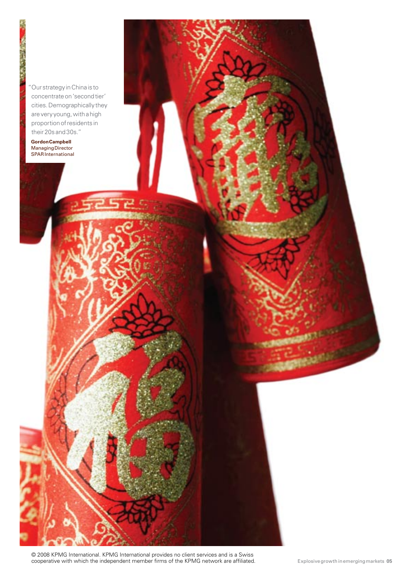"Our strategy in China is to concentrate on 'second tier' cities. Demographically they are very young, with a high proportion of residents in their 20s and 30s."

**Gordon Campbell**  Managing Director **SPAR International**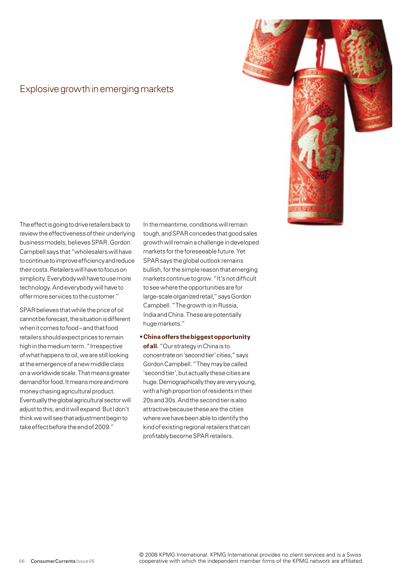### Explosive growth in emerging markets

The effect is going to drive retailers back to review the effectiveness of their underlying business models, believes SPAR. Gordon Campbell says that "wholesalers will have to continue to improve efficiency and reduce their costs. Retailers will have to focus on simplicity. Everybody will have to use more technology. And everybody will have to offer more services to the customer."

SPAR believes that while the price of oil cannot be forecast, the situation is different when it comes to food – and that food retailers should expect prices to remain high in the medium term. "Irrespective of what happens to oil, we are still looking at the emergence of a new middle class on a worldwide scale. That means greater demand for food. It means more and more money chasing agricultural product. Eventually the global agricultural sector will adjust to this, and it will expand. But I don't think we will see that adjustment begin to take effect before the end of 2009."

In the meantime, conditions will remain tough, and SPAR concedes that good sales growth will remain a challenge in developed markets for the foreseeable future. Yet SPAR says the global outlook remains bullish, for the simple reason that emerging markets continue to grow. "It's not difficult to see where the opportunities are for large-scale organized retail," says Gordon Campbell. "The growth is in Russia, India and China. These are potentially huge markets."

• **China offers the biggest opportunity** 

**of all.** "Our strategy in China is to concentrate on 'second tier' cities," says Gordon Campbell. "They may be called 'second tier', but actually these cities are huge. Demographically they are very young, with a high proportion of residents in their 20s and 30s. And the second tier is also attractive because these are the cities where we have been able to identify the kind of existing regional retailers that can profitably become SPAR retailers.

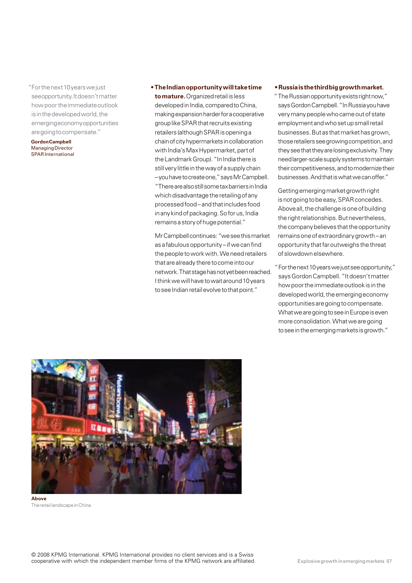"For the next 10 years we just see opportunity. It doesn't matter how poor the immediate outlook is in the developed world, the emerging economy opportunities are going to compensate."

 **Gordon Campbell**  Managing Director **SPAR International**  **The Indian opportunity will take time** •

**to mature.** Organized retail is less developed in India, compared to China, making expansion harder for a cooperative group like SPAR that recruits existing retailers (although SPAR is opening a chain of city hypermarkets in collaboration with India's Max Hypermarket, part of the Landmark Group). "In India there is still very little in the way of a supply chain – you have to create one," says Mr Campbell. "There are also still some tax barriers in India which disadvantage the retailing of any processed food – and that includes food in any kind of packaging. So for us, India remains a story of huge potential."

Mr Campbell continues: "we see this market as a fabulous opportunity – if we can find the people to work with. We need retailers that are already there to come into our network. That stage has not yet been reached. I think we will have to wait around 10 years to see Indian retail evolve to that point."

#### •**Russia is the third big growth market.**

" The Russian opportunity exists right now," says Gordon Campbell. "In Russia you have very many people who came out of state employment and who set up small retail businesses. But as that market has grown, those retailers see growing competition, and they see that they are losing exclusivity. They need larger-scale supply systems to maintain their competitiveness, and to modernize their businesses. And that is what we can offer."

Getting emerging market growth right is not going to be easy, SPAR concedes. Above all, the challenge is one of building the right relationships. But nevertheless, the company believes that the opportunity remains one of extraordinary growth – an opportunity that far outweighs the threat of slowdown elsewhere.

 " For the next 10 years we just see opportunity," says Gordon Campbell. "It doesn't matter how poor the immediate outlook is in the developed world, the emerging economy opportunities are going to compensate. What we are going to see in Europe is even more consolidation. What we are going to see in the emerging markets is growth."



**Above** The retail landscape in China.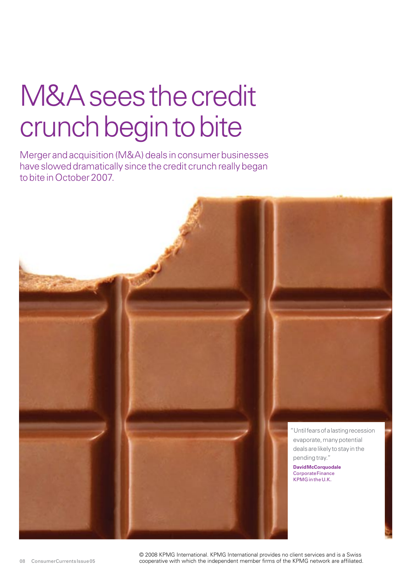### M&A sees the credit crunch begin to bite

Merger and acquisition (M&A) deals in consumer businesses have slowed dramatically since the credit crunch really began to bite in October 2007.

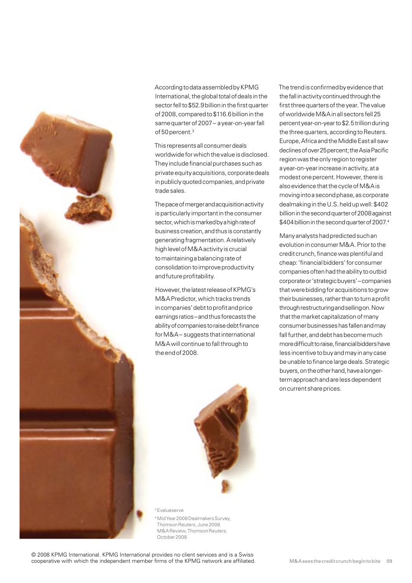

According to data assembled by KPMG International, the global total of deals in the sector fell to \$52.9 billion in the first quarter of 2008, compared to \$116.6 billion in the same quarter of 2007 – a year-on-year fall of 50 percent.<sup>3</sup>

This represents all consumer deals worldwide for which the value is disclosed. They include financial purchases such as private equity acquisitions, corporate deals in publicly quoted companies, and private trade sales.

The pace of merger and acquisition activity is particularly important in the consumer sector, which is marked by a high rate of business creation, and thus is constantly generating fragmentation. A relatively high level of M&A activity is crucial to maintaining a balancing rate of consolidation to improve productivity and future profitability.

However, the latest release of KPMG's M&A Predictor, which tracks trends in companies' debt to profit and price earnings ratios – and thus forecasts the ability of companies to raise debt finance for M&A – suggests that international M&A will continue to fall through to the end of 2008.



3Evalueserve 4Mid Year 2008 Dealmakers Survey, Thomson Reuters, June 2008 M&A Review, Thomson Reuters, October 2008

The trend is confirmed by evidence that the fall in activity continued through the first three quarters of the year. The value of worldwide M&A in all sectors fell 25 percent year-on-year to \$2.5 trillion during the three quarters, according to Reuters. Europe, Africa and the Middle East all saw declines of over 25 percent; the Asia Pacific region was the only region to register a year-on-year increase in activity, at a modest one percent. However, there is also evidence that the cycle of M&A is moving into a second phase, as corporate dealmaking in the U.S. held up well: \$402 billion in the second quarter of 2008 against \$404 billion in the second quarter of 2007.4

Many analysts had predicted such an evolution in consumer M&A. Prior to the credit crunch, finance was plentiful and cheap: 'financial bidders' for consumer companies often had the ability to outbid corporate or 'strategic buyers' – companies that were bidding for acquisitions to grow their businesses, rather than to turn a profit through restructuring and selling on. Now that the market capitalization of many consumer businesses has fallen and may fall further, and debt has become much more difficult to raise, financial bidders have less incentive to buy and may in any case be unable to finance large deals. Strategic buyers, on the other hand, have a longerterm approach and are less dependent on current share prices.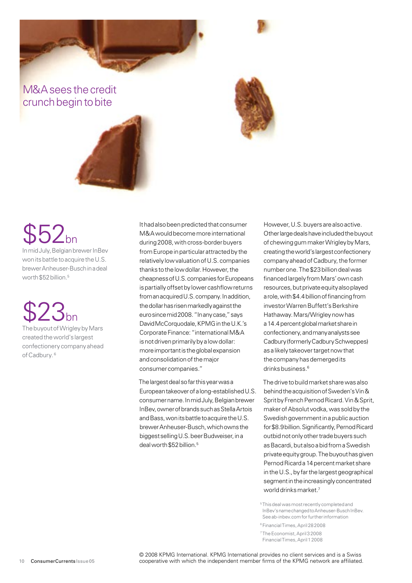



 $\mathfrak{F}52_{\hbox{\scriptsize bn}}$ ln mid July, Belgian brewer InBev

won its battle to acquire the U.S. brewer Anheuser-Busch in a deal worth \$52 billion.<sup>5</sup>

# **S23bn**<br>The buyout of Wrigley by Mars

created the world's largest confectionery company ahead of Cadbury.<sup>6</sup>

It had also been predicted that consumer M&A would become more international during 2008, with cross-border buyers from Europe in particular attracted by the relatively low valuation of U.S. companies thanks to the low dollar. However, the cheapness of U.S. companies for Europeans is partially offset by lower cashflow returns from an acquired U.S. company. In addition, the dollar has risen markedly against the euro since mid 2008. "In any case," says David McCorquodale, KPMG in the U.K.'s Corporate Finance: "international M&A is not driven primarily by a low dollar: more important is the global expansion and consolidation of the major consumer companies."

The largest deal so far this year was a European takeover of a long-established U.S. consumer name. In mid July, Belgian brewer InBev, owner of brands such as Stella Artois and Bass, won its battle to acquire the U.S. brewer Anheuser-Busch, which owns the biggest selling U.S. beer Budweiser, in a deal worth \$52 billion.<sup>5</sup>

However, U.S. buyers are also active. Other large deals have included the buyout of chewing gum maker Wrigley by Mars, creating the world's largest confectionery company ahead of Cadbury, the former number one. The \$23 billion deal was financed largely from Mars' own cash resources, but private equity also played a role, with \$4.4 billion of financing from investor Warren Buffett's Berkshire Hathaway. Mars/Wrigley now has a 14.4 percent global market share in confectionery, and many analysts see Cadbury (formerly Cadbury Schweppes) as a likely takeover target now that the company has demerged its drinks business.6

The drive to build market share was also behind the acquisition of Sweden's Vin & Sprit by French Pernod Ricard. Vin & Sprit, maker of Absolut vodka, was sold by the Swedish government in a public auction for \$8.9 billion. Significantly, Pernod Ricard outbid not only other trade buyers such as Bacardi, but also a bid from a Swedish private equity group. The buyout has given Pernod Ricard a 14 percent market share in the U.S., by far the largest geographical segment in the increasingly concentrated world drinks market.7

6 Financial Times, April 28 2008 <sup>7</sup> The Economist, April 3 2008

Financial Times, April 1 2008

<sup>5</sup> This deal was most recently completed and InBev's name changed to Anheuser-Busch InBev. See ab-inbev.com for further information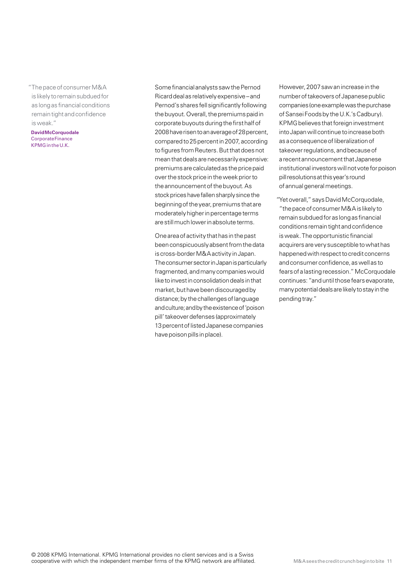" The pace of consumer M&A is likely to remain subdued for as long as financial conditions remain tight and confidence is weak."

 **David McCorquodale**  Corporate Finance KPMG in the U.K.

Some financial analysts saw the Pernod Ricard deal as relatively expensive – and Pernod's shares fell significantly following the buyout. Overall, the premiums paid in corporate buyouts during the first half of 2008 have risen to an average of 28 percent, compared to 25 percent in 2007, according to figures from Reuters. But that does not mean that deals are necessarily expensive: premiums are calculated as the price paid over the stock price in the week prior to the announcement of the buyout. As stock prices have fallen sharply since the beginning of the year, premiums that are moderately higher in percentage terms are still much lower in absolute terms.

One area of activity that has in the past been conspicuously absent from the data is cross-border M&A activity in Japan. The consumer sector in Japan is particularly fragmented, and many companies would like to invest in consolidation deals in that market, but have been discouraged by distance; by the challenges of language and culture; and by the existence of 'poison pill' takeover defenses (approximately 13 percent of listed Japanese companies have poison pills in place).

However, 2007 saw an increase in the number of takeovers of Japanese public companies (one example was the purchase of Sansei Foods by the U.K.'s Cadbury). KPMG believes that foreign investment into Japan will continue to increase both as a consequence of liberalization of takeover regulations, and because of a recent announcement that Japanese institutional investors will not vote for poison pill resolutions at this year's round of annual general meetings.

"Yet overall," says David McCorquodale, "the pace of consumer M&A is likely to remain subdued for as long as financial conditions remain tight and confidence is weak. The opportunistic financial acquirers are very susceptible to what has happened with respect to credit concerns and consumer confidence, as well as to fears of a lasting recession." McCorquodale continues: "and until those fears evaporate, many potential deals are likely to stay in the pending tray."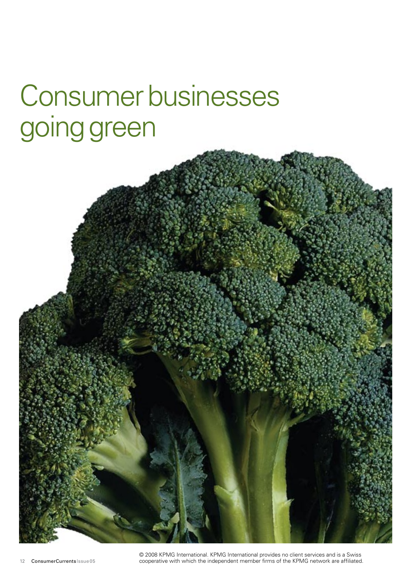## Consumer businesses going green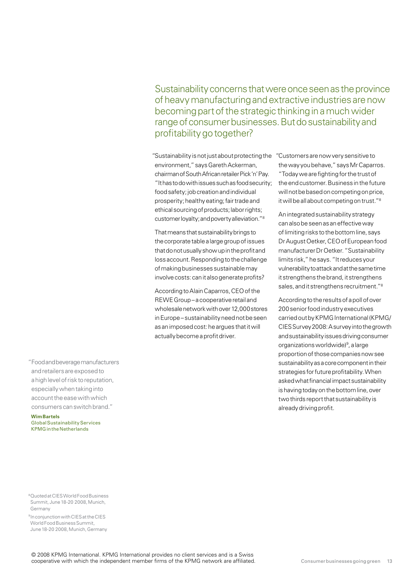Sustainability concerns that were once seen as the province of heavy manufacturing and extractive industries are now becoming part of the strategic thinking in a much wider range of consumer businesses. But do sustainability and profitability go together?

"Sustainability is not just about protecting the environment," says Gareth Ackerman, chairman of South African retailer Pick 'n' Pay. "It has to do with issues such as food security; food safety; job creation and individual prosperity; healthy eating; fair trade and ethical sourcing of products; labor rights; customer loyalty; and poverty alleviation."8

That means that sustainability brings to the corporate table a large group of issues that do not usually show up in the profit and loss account. Responding to the challenge of making businesses sustainable may involve costs: can it also generate profits?

According to Alain Caparros, CEO of the REWE Group – a cooperative retail and wholesale network with over 12,000 stores in Europe – sustainability need not be seen as an imposed cost: he argues that it will actually become a profit driver.

"Customers are now very sensitive to the way you behave," says Mr Caparros. "Today we are fighting for the trust of the end customer. Business in the future will not be based on competing on price, it will be all about competing on trust."8

An integrated sustainability strategy can also be seen as an effective way of limiting risks to the bottom line, says Dr August Oetker, CEO of European food manufacturer Dr Oetker. "Sustainability limits risk," he says. "It reduces your vulnerability to attack and at the same time it strengthens the brand, it strengthens sales, and it strengthens recruitment."8

According to the results of a poll of over 200 senior food industry executives carried out by KPMG International (KPMG/ CIES Survey 2008: A survey into the growth and sustainability issues driving consumer organizations worldwide)9, a large proportion of those companies now see sustainability as a core component in their strategies for future profitability. When asked what financial impact sustainability is having today on the bottom line, over two thirds report that sustainability is already driving profit.

" Food and beverage manufacturers and retailers are exposed to a high level of risk to reputation, especially when taking into account the ease with which consumers can switch brand."

 **Wim Bartels** Global Sustainability Services KPMG in the Netherlands

8 Quoted at CIES World Food Business Summit, June 18-20 2008, Munich, Germany

<sup>9</sup> In conjunction with CIES at the CIES World Food Business Summit, June 18-20 2008, Munich, Germany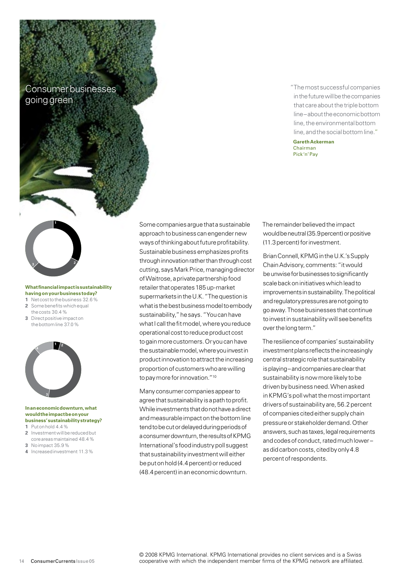Consumer businesses going green

#### **What financial impact is sustainability having on your business today?**

- **1** Net cost to the business 32.6 % **2** Some benefits which equal the costs 30.4 %
- **3** Direct positive impact on the bottom line 37.0 %

**1**

**<sup>3</sup> <sup>2</sup>**



#### **In an economic downturn, what would the impact be on your business' sustainability strategy?**

- 1 Put on hold  $4.4\%$
- **2** Investment will be reduced but core areas maintained 48.4 %
- **3** No impact 35.9 %
- **4** Increased investment 11.3 %

Some companies argue that a sustainable approach to business can engender new ways of thinking about future profitability. Sustainable business emphasizes profits through innovation rather than through cost cutting, says Mark Price, managing director of Waitrose, a private partnership food retailer that operates 185 up-market supermarkets in the U.K. "The question is what is the best business model to embody sustainability," he says. "You can have what I call the fit model, where you reduce operational cost to reduce product cost to gain more customers. Or you can have the sustainable model, where you invest in product innovation to attract the increasing proportion of customers who are willing to pay more for innovation."10

Many consumer companies appear to agree that sustainability is a path to profit. While investments that do not have a direct and measurable impact on the bottom line tend to be cut or delayed during periods of a consumer downturn, the results of KPMG International's food industry poll suggest that sustainability investment will either be put on hold (4.4 percent) or reduced (48.4 percent) in an economic downturn.

"The most successful companies in the future will be the companies that care about the triple bottom line – about the economic bottom line, the environmental bottom line, and the social bottom line."

 **Gareth Ackerman** Chairman Pick 'n' Pay

The remainder believed the impact would be neutral (35.9 percent) or positive (11.3 percent) for investment.

Brian Connell, KPMG in the U.K.'s Supply Chain Advisory, comments: "it would be unwise for businesses to significantly scale back on initiatives which lead to improvements in sustainability. The political and regulatory pressures are not going to go away. Those businesses that continue to invest in sustainability will see benefits over the long term."

The resilience of companies' sustainability investment plans reflects the increasingly central strategic role that sustainability is playing – and companies are clear that sustainability is now more likely to be driven by business need. When asked in KPMG's poll what the most important drivers of sustainability are, 56.2 percent of companies cited either supply chain pressure or stakeholder demand. Other answers, such as taxes, legal requirements and codes of conduct, rated much lower – as did carbon costs, cited by only 4.8 percent of respondents.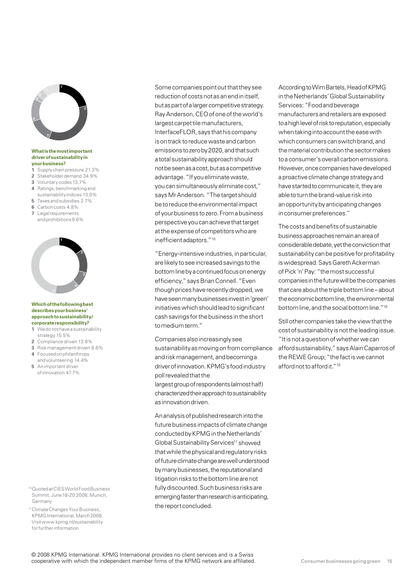

#### **What is the most important driver of sustainability in your business?**

- **1** Supply chain pressure 21.3%
- **2** Stakeholder demand 34.9%
- **3** Voluntary codes 13.7%
- **4** Ratings, benchmarking and
- sustainability indices 13.0% **5** Taxes and subsidies 2.7%
- **6** Carbon costs 4.8%
- **7** Legal requirements
- and prohibitions 9.6%



#### **Which of the following best describes your business' approach to sustainability/ corporate responsibility?**

- **1** We do not have a sustainability strategy 15.5%
- **2** Compliance driven 13.8%
- **3** Risk management driven 8.6%
- **4** Focused on philanthropy and volunteering 14.4%
- **5** An important driver of innovation 47.7%

- 10 Quoted at CIES World Food Business Summit, June 18-20 2008, Munich, Germany
- 11 Climate Changes Your Business, KPMG International, March 2008. Visit www.kpmg.nl/sustainability for further information

Some companies point out that they see reduction of costs not as an end in itself, but as part of a larger competitive strategy. Ray Anderson, CEO of one of the world's largest carpet tile manufacturers, InterfaceFLOR, says that his company is on track to reduce waste and carbon emissions to zero by 2020, and that such a total sustainability approach should not be seen as a cost, but as a competitive advantage. "If you eliminate waste, you can simultaneously eliminate cost," says Mr Anderson. "The target should be to reduce the environmental impact of your business to zero. From a business perspective you can achieve that target at the expense of competitors who are inefficient adaptors."10

"Energy-intensive industries, in particular, are likely to see increased savings to the bottom line by a continued focus on energy efficiency," says Brian Connell. "Even though prices have recently dropped, we have seen many businesses invest in 'green' initiatives which should lead to significant cash savings for the business in the short to medium term."

Companies also increasingly see sustainability as moving on from compliance and risk management, and becoming a driver of innovation. KPMG's food industry poll revealed that the

largest group of respondents (almost half) characterized their approach to sustainability as innovation driven.

An analysis of published research into the future business impacts of climate change conducted by KPMG in the Netherlands' Global Sustainability Services<sup>11</sup> showed that while the physical and regulatory risks of future climate change are well understood by many businesses, the reputational and litigation risks to the bottom line are not fully discounted. Such business risks are emerging faster than research is anticipating, the report concluded.

According to Wim Bartels, Head of KPMG in the Netherlands' Global Sustainability Services: "Food and beverage manufacturers and retailers are exposed to a high level of risk to reputation, especially when taking into account the ease with which consumers can switch brand, and the material contribution the sector makes to a consumer's overall carbon emissions. However, once companies have developed a proactive climate change strategy and have started to communicate it, they are able to turn the brand-value risk into an opportunity by anticipating changes in consumer preferences."

The costs and benefits of sustainable business approaches remain an area of considerable debate, yet the conviction that sustainability can be positive for profitability is widespread. Says Gareth Ackerman of Pick 'n' Pay: "the most successful companies in the future will be the companies that care about the triple bottom line – about the economic bottom line, the environmental bottom line, and the social bottom line."10

Still other companies take the view that the cost of sustainability is not the leading issue. "It is not a question of whether we can afford sustainability," says Alain Caparros of the REWE Group; "the fact is we cannot afford not to afford it."10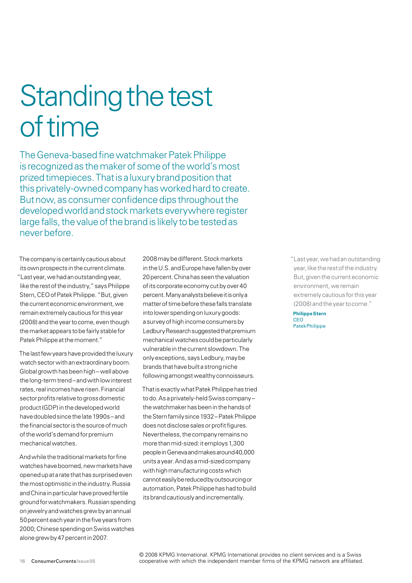### Standing the test of time

The Geneva-based fine watchmaker Patek Philippe is recognized as the maker of some of the world's most prized timepieces. That is a luxury brand position that this privately-owned company has worked hard to create. But now, as consumer confidence dips throughout the developed world and stock markets everywhere register large falls, the value of the brand is likely to be tested as never before.

The company is certainly cautious about its own prospects in the current climate. "Last year, we had an outstanding year, like the rest of the industry," says Philippe Stern, CEO of Patek Philippe. "But, given the current economic environment, we remain extremely cautious for this year (2008) and the year to come, even though the market appears to be fairly stable for Patek Philippe at the moment."

The last few years have provided the luxury watch sector with an extraordinary boom. Global growth has been high – well above the long-term trend – and with low interest rates, real incomes have risen. Financial sector profits relative to gross domestic product (GDP) in the developed world have doubled since the late 1990s – and the financial sector is the source of much of the world's demand for premium mechanical watches.

And while the traditional markets for fine watches have boomed, new markets have opened up at a rate that has surprised even the most optimistic in the industry. Russia and China in particular have proved fertile ground for watchmakers. Russian spending on jewelry and watches grew by an annual 50 percent each year in the five years from 2000; Chinese spending on Swiss watches alone grew by 47 percent in 2007.

2008 may be different. Stock markets in the U.S. and Europe have fallen by over 20 percent. China has seen the valuation of its corporate economy cut by over 40 percent. Many analysts believe it is only a matter of time before these falls translate into lower spending on luxury goods: a survey of high income consumers by Ledbury Research suggested that premium mechanical watches could be particularly vulnerable in the current slowdown. The only exceptions, says Ledbury, may be brands that have built a strong niche following amongst wealthy connoisseurs.

That is exactly what Patek Philippe has tried to do. As a privately-held Swiss company – the watchmaker has been in the hands of the Stern family since 1932 – Patek Philippe does not disclose sales or profit figures. Nevertheless, the company remains no more than mid-sized: it employs 1,300 people in Geneva and makes around 40,000 units a year. And as a mid-sized company with high manufacturing costs which cannot easily be reduced by outsourcing or automation, Patek Philippe has had to build its brand cautiously and incrementally.

"Last year, we had an outstanding year, like the rest of the industry. But, given the current economic environment, we remain extremely cautious for this year (2008) and the year to come."

 **Philippe Stern** CEO Patek Philippe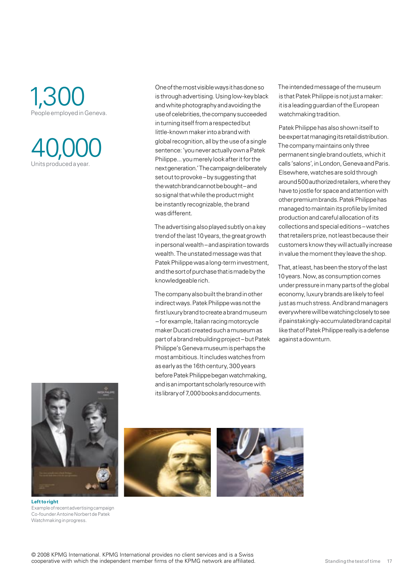# 1,300 People employed in Geneva.



One of the most visible ways it has done so is through advertising. Using low-key black and white photography and avoiding the use of celebrities, the company succeeded in turning itself from a respected but little-known maker into a brand with global recognition, all by the use of a single sentence: 'you never actually own a Patek Philippe... you merely look after it for the next generation.' The campaign deliberately set out to provoke – by suggesting that the watch brand cannot be bought – and so signal that while the product might be instantly recognizable, the brand was different.

The advertising also played subtly on a key trend of the last 10 years, the great growth in personal wealth – and aspiration towards wealth. The unstated message was that Patek Philippe was a long-term investment, and the sort of purchase that is made by the knowledgeable rich.

The company also built the brand in other indirect ways. Patek Philippe was not the first luxury brand to create a brand museum – for example, Italian racing motorcycle maker Ducati created such a museum as part of a brand rebuilding project – but Patek Philippe's Geneva museum is perhaps the most ambitious. It includes watches from as early as the 16th century, 300 years before Patek Philippe began watchmaking, and is an important scholarly resource with its library of 7,000 books and documents.

The intended message of the museum is that Patek Philippe is not just a maker: it is a leading guardian of the European watchmaking tradition.

Patek Philippe has also shown itself to be expert at managing its retail distribution. The company maintains only three permanent single brand outlets, which it calls 'salons', in London, Geneva and Paris. Elsewhere, watches are sold through around 500 authorized retailers, where they have to jostle for space and attention with other premium brands. Patek Philippe has managed to maintain its profile by limited production and careful allocation of its collections and special editions – watches that retailers prize, not least because their customers know they will actually increase in value the moment they leave the shop.

That, at least, has been the story of the last 10 years. Now, as consumption comes under pressure in many parts of the global economy, luxury brands are likely to feel just as much stress. And brand managers everywhere will be watching closely to see if painstakingly-accumulated brand capital like that of Patek Philippe really is a defense against a downturn.





**Left to right** Example of recent advertising campaign Co-founder Antoine Norbert de Patek Watchmaking in progress.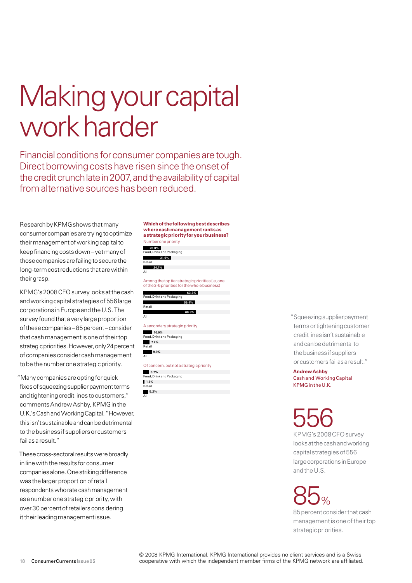### Making your capital work harder

Financial conditions for consumer companies are tough. Direct borrowing costs have risen since the onset of the credit crunch late in 2007, and the availability of capital from alternative sources has been reduced.

Research by KPMG shows that many consumer companies are trying to optimize their management of working capital to keep financing costs down – yet many of those companies are failing to secure the long-term cost reductions that are within their grasp.

KPMG's 2008 CFO survey looks at the cash and working capital strategies of 556 large corporations in Europe and the U.S. The survey found that a very large proportion of these companies – 85 percent – consider that cash management is one of their top strategic priorities. However, only 24 percent of companies consider cash management to be the number one strategic priority.

"Many companies are opting for quick fixes of squeezing supplier payment terms and tightening credit lines to customers," comments Andrew Ashby, KPMG in the U.K.'s Cash and Working Capital. "However, this isn't sustainable and can be detrimental to the business if suppliers or customers fail as a result."

These cross-sectoral results were broadly in line with the results for consumer companies alone. One striking difference was the larger proportion of retail respondents who rate cash management as a number one strategic priority, with over 30 percent of retailers considering it their leading management issue.

#### **Which of the following best describes where cash management ranks as a strategic priority for your business?**

| Number one priority       |  |
|---------------------------|--|
| 20.0%                     |  |
| Food, Drink and Packaging |  |
| 31.9%                     |  |
| Retail                    |  |
| 24.1%                     |  |
| All                       |  |

#### Among the top tier strategic priorities (ie, one of the 3-5 priorities for the whole business)



All

" Squeezing supplier payment terms or tightening customer credit lines isn't sustainable and can be detrimental to the business if suppliers or customers fail as a result."

 **Andrew Ashby** Cash and Working Capital KPMG in the U.K.

### 556

KPMG's 2008 CFO survey looks at the cash and working capital strategies of 556 large corporations in Europe and the U.S.

85% 85 percent consider that cash management is one of their top strategic priorities.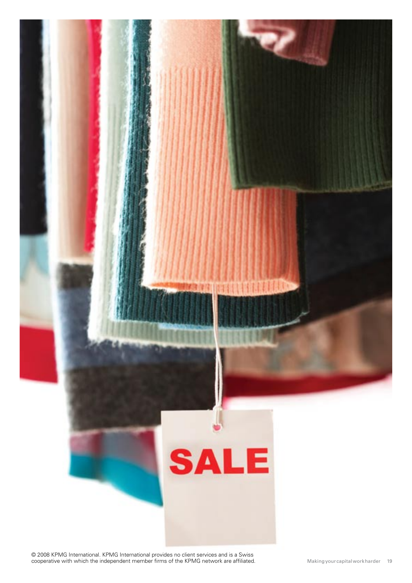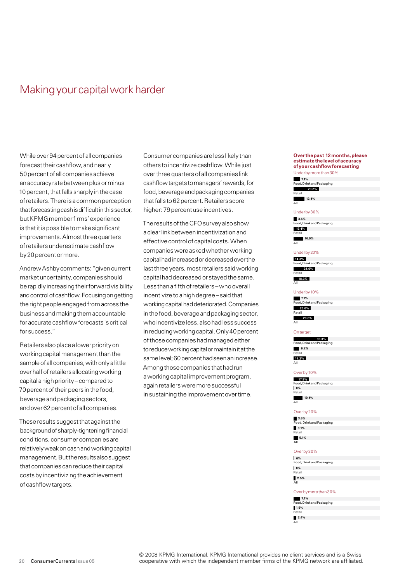### Making your capital work harder

While over 94 percent of all companies forecast their cashflow, and nearly 50 percent of all companies achieve an accuracy rate between plus or minus 10 percent, that falls sharply in the case of retailers. There is a common perception that forecasting cash is difficult in this sector, but KPMG member firms' experience is that it is possible to make significant improvements. Almost three quarters of retailers underestimate cashflow by 20 percent or more.

Andrew Ashby comments: "given current market uncertainty, companies should be rapidly increasing their forward visibility and control of cashflow. Focusing on getting the right people engaged from across the business and making them accountable for accurate cashflow forecasts is critical for success."

Retailers also place a lower priority on working capital management than the sample of all companies, with only a little over half of retailers allocating working capital a high priority – compared to 70 percent of their peers in the food, beverage and packaging sectors, and over 62 percent of all companies.

These results suggest that against the background of sharply-tightening financial conditions, consumer companies are relatively weak on cash and working capital management. But the results also suggest that companies can reduce their capital costs by incentivizing the achievement of cashflow targets.

Consumer companies are less likely than others to incentivize cashflow. While just over three quarters of all companies link cashflow targets to managers' rewards, for food, beverage and packaging companies that falls to 62 percent. Retailers score higher: 79 percent use incentives.

The results of the CFO survey also show a clear link between incentivization and effective control of capital costs. When companies were asked whether working capital had increased or decreased over the last three years, most retailers said working capital had decreased or stayed the same. Less than a fifth of retailers – who overall incentivize to a high degree – said that working capital had deteriorated. Companies in the food, beverage and packaging sector, who incentivize less, also had less success in reducing working capital. Only 40 percent of those companies had managed either to reduce working capital or maintain it at the same level; 60 percent had seen an increase. Among those companies that had run a working capital improvement program, again retailers were more successful in sustaining the improvement over time.

#### **Over the past 12 months, please estimate the level of accuracy of your cashflow forecasting** Under by more than 30%

#### Food, Drink and Packaging Retail All **12.4% 29.2% 7.1%**

#### Under by 30%

Food, Drink and Packaging **3.6% 15.4%** Retail П **10.9%**

#### Under by 20%

All

Food, Drink and Packaging Retail All **24.6% 18.3% 14.3%** Food, Drink and Packaging **7.1%** Retail All **20.0% 23.8%** Under by 10%

#### **On target**

| 39.3%                     |  |
|---------------------------|--|
| Food, Drink and Packaging |  |
| <b>I</b><br>6.2%          |  |
| Retail                    |  |
| 14.2%                     |  |
| All                       |  |

#### Over by 10%

| 17.9%                     |  |
|---------------------------|--|
| Food, Drink and Packaging |  |
| 0%                        |  |
| Retail                    |  |
| 10.4%                     |  |
| All                       |  |
|                           |  |

#### Over by 20%

| 3.6%   |                           |  |  |
|--------|---------------------------|--|--|
|        | Food, Drink and Packaging |  |  |
| 3.1%   |                           |  |  |
| Retail |                           |  |  |
| 5.1%   |                           |  |  |
| All    |                           |  |  |

#### Over by 30%

| 0%                        |  |
|---------------------------|--|
| Food, Drink and Packaging |  |
| $ 0\%$                    |  |
| Retail                    |  |
| т<br>2.5%                 |  |
| All                       |  |

#### Over by more than 30%

| 7.1%                      |  |
|---------------------------|--|
| Food, Drink and Packaging |  |
| 1.5%                      |  |
| Retail                    |  |
| 2.4%                      |  |
| All                       |  |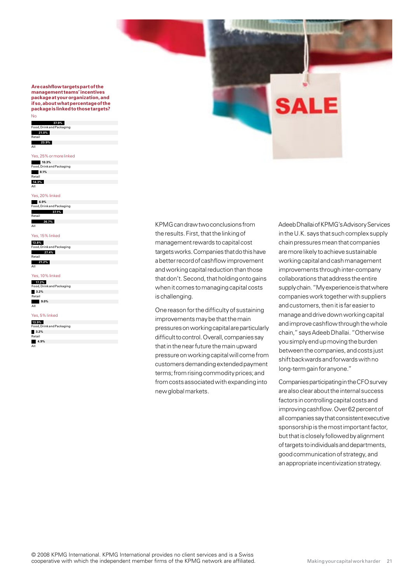**Are cashflow targets part of the centives management teams' in zation, and ntage of the se targets? package is linked to tho package at your organi if so, about what perce** No

#### Food, Drink and Packaging **21.0% 37.9%**

Retail All **23.9%**

#### Yes, 25% or more linked

Food, Drink and Packaging **10.3%** Retail **8.1% 14.3%**

#### Yes, 20% linked

All

All

Food, Drink and Packaging **6.9%** Retail **37.1% 26.7%**

#### Yes, 15% linked

**13.8%**

#### nd Packaging Retail **27.4%**

All **21.2%**

#### Yes, 10% linked

Food, Drink and Packaging **17.2%**

#### **3.2%**

Retail **9.0%**

#### All

Yes, 5% linked

#### **13.9%**

Retail All **4.9%** nd Packaging **3.2%**

KPMG can draw two conclusions from the results. First, that the linking of management rewards to capital cost targets works. Companies that do this have a better record of cashflow improvement and working capital reduction than those that don't. Second, that holding onto gains when it comes to managing capital costs is challenging.

One reason for the difficulty of sustaining improvements may be that the main pressures on working capital are particularly difficult to control. Overall, companies say that in the near future the main upward pressure on working capital will come from customers demanding extended payment terms; from rising commodity prices; and from costs associated with expanding into new global markets.

Adeeb Dhallai of KPMG's Advisory Services in the U.K. says that such complex supply chain pressures mean that companies are more likely to achieve sustainable working capital and cash management improvements through inter-company collaborations that address the entire supply chain. "My experience is that where companies work together with suppliers and customers, then it is far easier to manage and drive down working capital and improve cashflow through the whole chain," says Adeeb Dhallai. "Otherwise you simply end up moving the burden between the companies, and costs just shift backwards and forwards with no long-term gain for anyone."

Companies participating in the CFO survey are also clear about the internal success factors in controlling capital costs and improving cashflow. Over 62 percent of all companies say that consistent executive sponsorship is the most important factor, but that is closely followed by alignment of targets to individuals and departments, good communication of strategy, and an appropriate incentivization strategy.